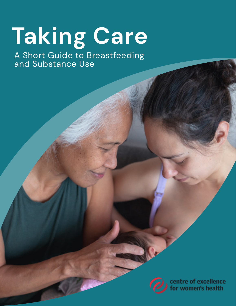# **Taking Care**

A Short Guide to Breastfeeding and Substance Use



centre of excellence<br>for women's health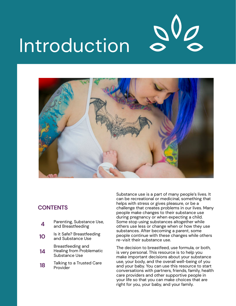



### **CONTENTS**

| 4  | Parenting, Substance Use,<br>and Breastfeeding                 |
|----|----------------------------------------------------------------|
| 10 | Is it Safe? Breastfeeding<br>and Substance Use                 |
| 14 | Breastfeeding and<br>Healing from Problematic<br>Substance Use |
|    | $T_2$ ll $\omega$ ng tala Twustad Cara                         |

**18** Talking to a Trusted Care Provider

Substance use is a part of many people's lives. It can be recreational or medicinal, something that helps with stress or gives pleasure, or be a challenge that creates problems in our lives. Many people make changes to their substance use during pregnancy or when expecting a child. Some stop using substances altogether while others use less or change when or how they use substances. After becoming a parent, some people continue with these changes while others re-visit their substance use.

The decision to breastfeed, use formula, or both, is very personal. This resource is to help you make important decisions about your substance use, your body, and the overall well-being of you and your baby. You can use this resource to start conversations with partners, friends, family, health care providers and other supportive people in your life so that you can make choices that are right for you, your baby, and your family.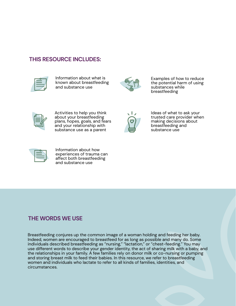#### **THIS RESOURCE INCLUDES:**



Information about what is known about breastfeeding and substance use



Examples of how to reduce the potential harm of using substances while breastfeeding



Activities to help you think about your breastfeeding plans, hopes, goals, and fears and your relationship with substance use as a parent



Ideas of what to ask your trusted care provider when making decisions about breastfeeding and substance use



Information about how experiences of trauma can affect both breastfeeding and substance use

### **THE WORDS WE USE**

Breastfeeding conjures up the common image of a woman holding and feeding her baby. Indeed, women are encouraged to breastfeed for as long as possible and many do. Some individuals described breastfeeding as "nursing," "lactation," or "chest-feeding." You may use different words to describe your gender identity, the act of sharing milk with a baby, and the relationships in your family. A few families rely on donor milk or co-nursing or pumping and storing breast milk to feed their babies. In this resource, we refer to breastfeeding women and individuals who lactate to refer to all kinds of families, identities, and circumstances.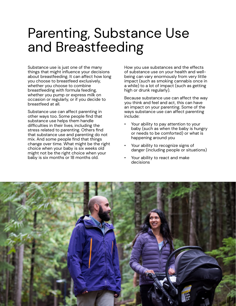## Parenting, Substance Use and Breastfeeding

Substance use is just one of the many things that might influence your decisions about breastfeeding. It can affect how long you choose to breastfeed exclusively, whether you choose to combine breastfeeding with formula feeding, whether you pump or express milk on occasion or regularly, or if you decide to breastfeed at all.

Substance use can affect parenting in other ways too. Some people find that substance use helps them handle difficulties in their lives, including the stress related to parenting. Others find that substance use and parenting do not mix. And some people find that things change over time. What might be the right choice when your baby is six weeks old might not be the right choice when your baby is six months or 18 months old.

How you use substances and the effects of substance use on your health and wellbeing can vary enormously from very little impact (such as smoking cannabis once in a while) to a lot of impact (such as getting high or drunk regularly).

Because substance use can affect the way you think and feel and act, this can have an impact on your parenting. Some of the ways substance use can affect parenting include:

- Your ability to pay attention to your baby (such as when the baby is hungry or needs to be comforted) or what is happening around you
- Your ability to recognize signs of danger (including people or situations)
- Your ability to react and make decisions

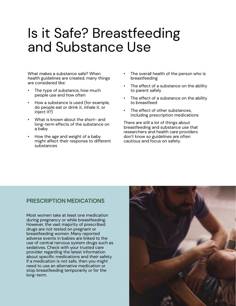### Is it Safe? Breastfeeding and Substance Use

What makes a substance safe? When health guidelines are created, many things are considered like:

- The type of substance, how much people use and how often
- How a substance is used (for example, do people eat or drink it, inhale it, or inject it?)
- What is known about the short- and long-term effects of the substance on a baby
- How the age and weight of a baby might affect their response to different substances
- The overall health of the person who is breastfeeding
- The effect of a substance on the ability to parent safely
- The effect of a substance on the ability to breastfeed
- The effect of other substances, including prescription medications

There are still a lot of things about breastfeeding and substance use that researchers and health care providers don't know so guidelines are often cautious and focus on safety.

#### **PRESCRIPTION MEDICATIONS**

Most women take at least one medication during pregnancy or while breastfeeding. However, the vast majority of prescribed drugs are not tested on pregnant or breastfeeding women. Many reported adverse events in babies are linked to the use of central nervous system drugs such as sedatives. Check with your trusted care provider regarding the latest information about specific medications and their safety. If a medication is not safe, then you might need to use an alternative medication or stop breastfeeding temporarily or for the long-term.

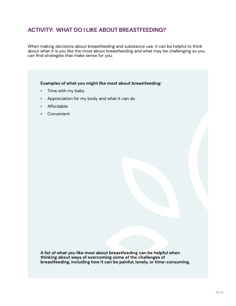### **ACTIVITY: WHAT DO I LIKE ABOUT BREASTFEEDING?**

When making decisions about breastfeeding and substance use, it can be helpful to think about what it is you like the most about breastfeeding and what may be challenging so you can find strategies that make sense for you.

Examples of what you might like most about breastfeeding:

- Time with my baby
- Appreciation for my body and what it can do  $\bullet$
- Affordable
- Convenient  $\bullet$

A list of what you like most about breastfeeding can be helpful when thinking about ways of overcoming some of the challenges of breastfeeding, including how it can be painful, lonely, or time-consuming.

 $\mathbf{C}$ 

4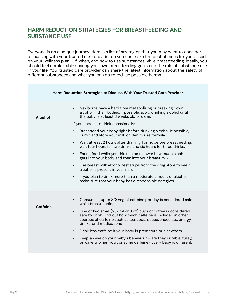#### **HARM REDUCTION STRATEGIES FOR BREASTFEEDING AND SUBSTANCE USE**

Everyone is on a unique journey. Here is a list of strategies that you may want to consider discussing with your trusted care provider so you can make the best choices for you based on your wellness plan – if, when, and how to use substances while breastfeeding. Ideally, you should feel comfortable sharing your own breastfeeding goals and the role of substance use in your life. Your trusted care provider can share the latest information about the safety of different substances and what you can do to reduce possible harms.

|          | Harm Reduction Strategies to Discuss With Your Trusted Care Provider                                                                                                                                                                                                                                                                                                                                                                                                                                                                                                                                                                                                                                                                                                                                                                                                                                                      |
|----------|---------------------------------------------------------------------------------------------------------------------------------------------------------------------------------------------------------------------------------------------------------------------------------------------------------------------------------------------------------------------------------------------------------------------------------------------------------------------------------------------------------------------------------------------------------------------------------------------------------------------------------------------------------------------------------------------------------------------------------------------------------------------------------------------------------------------------------------------------------------------------------------------------------------------------|
| Alcohol  | Newborns have a hard time metabolizing or breaking down<br>$\bullet$<br>alcohol in their bodies. If possible, avoid drinking alcohol until<br>the baby is at least 8 weeks old or older.<br>If you choose to drink occasionally:<br>Breastfeed your baby right before drinking alcohol. If possible,<br>$\bullet$<br>pump and store your milk or plan to use formula.<br>Wait at least 2 hours after drinking 1 drink before breastfeeding;<br>$\bullet$<br>wait four hours for two drinks and six hours for three drinks.<br>Eating food while you drink helps to lower how much alcohol<br>$\bullet$<br>gets into your body and then into your breast milk.<br>Use breast milk alcohol test strips from the drug store to see if<br>$\bullet$<br>alcohol is present in your milk.<br>If you plan to drink more than a moderate amount of alcohol,<br>$\bullet$<br>make sure that your baby has a responsible caregiver. |
| Caffeine | Consuming up to 300mg of caffeine per day is considered safe<br>$\bullet$<br>while breastfeeding.<br>One or two small (237 ml or 8 oz) cups of coffee is considered<br>$\bullet$<br>safe to drink. Find out how much caffeine is included in other<br>sources of caffeine such as tea, soda, cocoa/chocolate, energy<br>drinks, and medications.<br>Drink less caffeine if your baby is premature or a newborn.<br>$\bullet$<br>Keep an eye on your baby's behaviour - are they irritable, fussy,<br>$\bullet$<br>or wakeful when you consume caffeine? Every baby is different.                                                                                                                                                                                                                                                                                                                                          |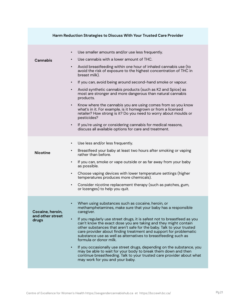| Harm Reduction Strategies to Discuss With Your Trusted Care Provider |                                                                                                                                                                                                                                                                                                                                                                                                                                                                                                                                                                                                                                                                                                                                                                                                                                                                                          |  |
|----------------------------------------------------------------------|------------------------------------------------------------------------------------------------------------------------------------------------------------------------------------------------------------------------------------------------------------------------------------------------------------------------------------------------------------------------------------------------------------------------------------------------------------------------------------------------------------------------------------------------------------------------------------------------------------------------------------------------------------------------------------------------------------------------------------------------------------------------------------------------------------------------------------------------------------------------------------------|--|
| Cannabis                                                             | Use smaller amounts and/or use less frequently.<br>$\bullet$<br>Use cannabis with a lower amount of THC.<br>Avoid breastfeeding within one hour of inhaled cannabis use (to<br>$\bullet$<br>avoid the risk of exposure to the highest concentration of THC in<br>breast milk).<br>If you can, avoid being around second-hand smoke or vapour.<br>$\bullet$<br>Avoid synthetic cannabis products (such as K2 and Spice) as<br>$\bullet$<br>most are stronger and more dangerous than natural cannabis<br>products.<br>Know where the cannabis you are using comes from so you know<br>$\bullet$<br>what's in it. For example, is it homegrown or from a licensed<br>retailer? How strong is it? Do you need to worry about moulds or<br>pesticides?<br>If you're using or considering cannabis for medical reasons,<br>$\bullet$<br>discuss all available options for care and treatment. |  |
| <b>Nicotine</b>                                                      | Use less and/or less frequently.<br>$\bullet$<br>Breastfeed your baby at least two hours after smoking or vaping<br>$\bullet$<br>rather than before.<br>If you can, smoke or vape outside or as far away from your baby<br>$\bullet$<br>as possible.<br>Choose vaping devices with lower temperature settings (higher<br>$\bullet$<br>temperatures produces more chemicals).<br>Consider nicotine replacement therapy (such as patches, gum,<br>$\bullet$<br>or lozenges) to help you quit.                                                                                                                                                                                                                                                                                                                                                                                              |  |
| Cocaine, heroin,<br>and other street<br>drugs                        | When using substances such as cocaine, heroin, or<br>methamphetamines, make sure that your baby has a responsible<br>caregiver.<br>If you regularly use street drugs, it is safest not to breastfeed as you<br>$\bullet$<br>can't know the exact dose you are taking and they might contain<br>other substances that aren't safe for the baby. Talk to your trusted<br>care provider about finding treatment and support for problematic<br>substance use as well as alternatives to breastfeeding such as<br>formula or donor milk.<br>If you occasionally use street drugs, depending on the substance, you<br>$\bullet$<br>may be able to wait for your body to break them down and then<br>continue breastfeeding. Talk to your trusted care provider about what<br>may work for you and your baby.                                                                                  |  |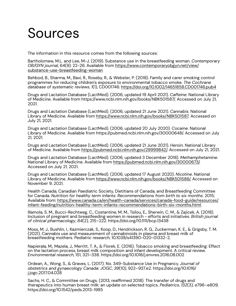# Sources

The information in this resource comes from the following sources:

Bartholomew, M.L. and Lee, M-J. (2019). Substance use in the breastfeeding woman. *Contemporary OB/GYN journal*, 64(9): 22-26. Available from https://www.contemporaryobgyn.net/view/ substance-use-breastfeeding-woman

Behbod, B., Sharma, M., Baxi, R., Roseby, R., & Webster, P. (2018). Family and carer smoking control programmes for reducing children's exposure to environmental tobacco smoke. *The Cochrane database of systematic reviews*, *1*(1), CD001746. https://doi.org/10.1002/14651858.CD001746.pub4

Drugs and Lactation Database (LactMed). (2006, updated 19 April 2021). *Caffeine*. National Library of Medicine. Available from https://www.ncbi.nlm.nih.gov/books/NBK501587/. Accessed on July 21, 2021.

Drugs and Lactation Database (LactMed). (2006, updated 21 June 2021). *Cannabis*. National Library of Medicine. Available from https://www.ncbi.nlm.nih.gov/books/NBK501587. Accessed on July 21, 2021.

Drugs and Lactation Database (LactMed). (2006, updated 20 July 2020). *Cocaine*. National Library of Medicine. Available from https://pubmed.ncbi.nlm.nih.gov/30000648/. Accessed on July 21, 2021.

Drugs and Lactation Database (LactMed). (2006, updated 21 June 2021). *Heroin*. National Library of Medicine. Available from https://pubmed.ncbi.nlm.nih.gov/29999842/. Accessed on July 21, 2021.

Drugs and Lactation Database (LactMed). (2006, updated 3 December 2018). *Methamphetamine*. National Library of Medicine. Available from https://pubmed.ncbi.nlm.nih.gov/30000673/. Accessed on July 21, 2021.

Drugs and Lactation Database (LactMed). (2006, updated 17 August 2020). *Nicotine*. National Library of Medicine. Available from https://www.ncbi.nlm.nih.gov/books/NBK501586/. Accessed on November 9, 2021.

Health Canada, Canadian Paediatric Society, Dietitians of Canada, and Breastfeeding Committee for Canada. *Nutrition for healthy term infants: Recommendations from birth to six months*. 2015; Available from: https://www.canada.ca/en/health-canada/services/canada-food-guide/resources/ infant-feeding/nutrition-healthy-term-infants-recommendations-birth-six-months.html.

Illamola, S. M., Bucci-Rechtweg, C., Costantine, M. M., Tsilou, E., Sherwin, C. M., & Zajicek, A. (2018). Inclusion of pregnant and breastfeeding women in research - efforts and initiatives. *British journal of clinical pharmacology*, *84*(2), 215–222. https://doi.org/10.1111/bcp.13438

Moss, M. J., Bushlin, I., Kazmierczak, S., Koop, D., Hendrickson, R. G., Zuckerman, K. E., & Grigsby, T. M. (2021). Cannabis use and measurement of cannabinoids in plasma and breast milk of breastfeeding mothers. *Pediatric research*, 10.1038/s41390-020-01332-2.

Napierala, M., Mazela, J., Merritt, T. A., & Florek, E. (2016). Tobacco smoking and breastfeeding: Effect on the lactation process, breast milk composition and infant development. A critical review. *Environmental research*, 151, 321–338. https://doi.org/10.1016/j.envres.2016.08.002

Ordean, A., Wong, S., & Graves, L. (2017). No. 349-Substance Use in Pregnancy. *Journal of obstetrics and gynaecology Canada: JOGC*, *39*(10), 922–937.e2. https://doi.org/10.1016/ j.jogc.2017.04.028

Sachs, H. C., & Committee on Drugs. (2013, reaffirmed 2018). The transfer of drugs and therapeutics into human breast milk: an update on selected topics. *Pediatrics*, *132*(3), e796–e809. https://doi.org/10.1542/peds.2013-1985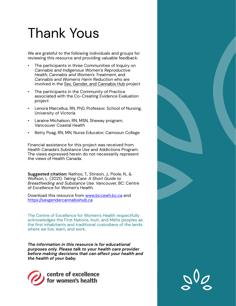# Thank Yous

We are grateful to the following individuals and groups for reviewing this resource and providing valuable feedback:

- The participants in three Communities of Inquiry on *Cannabis and Indigenous Women's Reproductive Health*, *Cannabis and Women's Treatment*, and *Cannabis and Women's Harm Reduction* who are involved in the Sex, Gender, and Cannabis Hub project
- The participants in the Community of Practice associated with the Co-Creating Evidence Evaluation project
- Lenora Marcellus, RN, PhD, Professor, School of Nursing, University of Victoria
- Laraine Michalson, RN, MSN, Sheway program, Vancouver Coastal Health
- Betty Poag, RN, MN, Nurse Educator, Camosun College

Financial assistance for this project was received from Health Canada's Substance Use and Addictions Program. The views expressed herein do not necessarily represent the views of Health Canada.

**Suggested citation:** Nathoo, T., Stinson, J., Poole, N., & Wolfson, L. (2021). *Taking Care: A Short Guide to Breastfeeding and Substance Use*. Vancouver, BC: Centre of Excellence for Women's Health.

Download this resource from www.bccewh.bc.ca and https://sexgendercannabishub.ca

The Centre of Excellence for Women's Health respectfully acknowledges the First Nations, Inuit, and Métis peoples as the first inhabitants and traditional custodians of the lands where we live, learn, and work.

*The information in this resource is for educational purposes only. Please talk to your health care provider before making decisions that can affect your health and the health of your baby.*